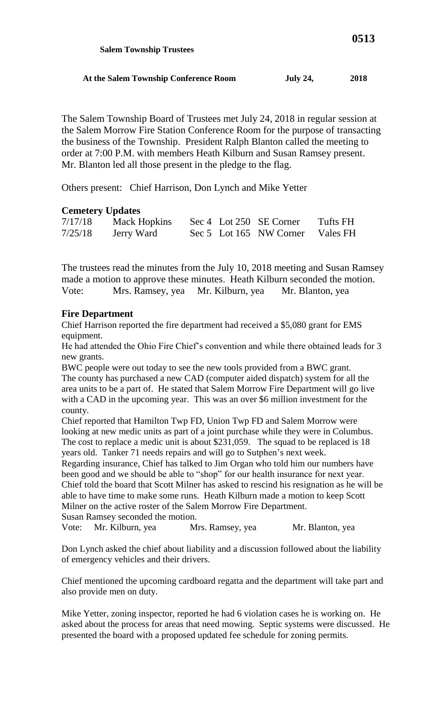| At the Salem Township Conference Room | <b>July 24,</b> | 2018 |
|---------------------------------------|-----------------|------|

The Salem Township Board of Trustees met July 24, 2018 in regular session at the Salem Morrow Fire Station Conference Room for the purpose of transacting the business of the Township. President Ralph Blanton called the meeting to order at 7:00 P.M. with members Heath Kilburn and Susan Ramsey present. Mr. Blanton led all those present in the pledge to the flag.

Others present: Chief Harrison, Don Lynch and Mike Yetter

 **Salem Township Trustees**

## **Cemetery Updates**

| 7/17/18 | Mack Hopkins |  | Sec 4 Lot 250 SE Corner          | Tufts FH |
|---------|--------------|--|----------------------------------|----------|
| 7/25/18 | Jerry Ward   |  | Sec 5 Lot 165 NW Corner Vales FH |          |

The trustees read the minutes from the July 10, 2018 meeting and Susan Ramsey made a motion to approve these minutes. Heath Kilburn seconded the motion. Vote: Mrs. Ramsey, yea Mr. Kilburn, yea Mr. Blanton, yea

## **Fire Department**

Chief Harrison reported the fire department had received a \$5,080 grant for EMS equipment.

He had attended the Ohio Fire Chief's convention and while there obtained leads for 3 new grants.

BWC people were out today to see the new tools provided from a BWC grant. The county has purchased a new CAD (computer aided dispatch) system for all the area units to be a part of. He stated that Salem Morrow Fire Department will go live with a CAD in the upcoming year. This was an over \$6 million investment for the county.

Chief reported that Hamilton Twp FD, Union Twp FD and Salem Morrow were looking at new medic units as part of a joint purchase while they were in Columbus. The cost to replace a medic unit is about \$231,059. The squad to be replaced is 18 years old. Tanker 71 needs repairs and will go to Sutphen's next week.

Regarding insurance, Chief has talked to Jim Organ who told him our numbers have been good and we should be able to "shop" for our health insurance for next year. Chief told the board that Scott Milner has asked to rescind his resignation as he will be able to have time to make some runs. Heath Kilburn made a motion to keep Scott Milner on the active roster of the Salem Morrow Fire Department. Susan Ramsey seconded the motion.

Vote: Mr. Kilburn, yea Mrs. Ramsey, yea Mr. Blanton, yea

Don Lynch asked the chief about liability and a discussion followed about the liability of emergency vehicles and their drivers.

Chief mentioned the upcoming cardboard regatta and the department will take part and also provide men on duty.

Mike Yetter, zoning inspector, reported he had 6 violation cases he is working on. He asked about the process for areas that need mowing. Septic systems were discussed. He presented the board with a proposed updated fee schedule for zoning permits.